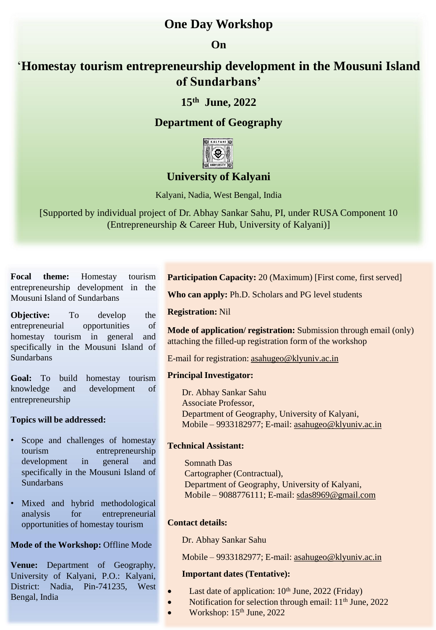# **One Day Workshop**

### **On**

# '**Homestay tourism entrepreneurship development in the Mousuni Island of Sundarbans'**

## **15th June, 2022**

# **Department of Geography**



# **University of Kalyani**

Kalyani, Nadia, West Bengal, India

[Supported by individual project of Dr. Abhay Sankar Sahu, PI, under RUSA Component 10 (Entrepreneurship & Career Hub, University of Kalyani)]

**Focal theme:** Homestay tourism entrepreneurship development in the Mousuni Island of Sundarbans

**Objective:** To develop the entrepreneurial opportunities of homestay tourism in general and specifically in the Mousuni Island of Sundarbans

**Goal:** To build homestay tourism knowledge and development of entrepreneurship

#### **Topics will be addressed:**

- Scope and challenges of homestay tourism entrepreneurship development in general and specifically in the Mousuni Island of **Sundarbans**
- Mixed and hybrid methodological analysis for entrepreneurial opportunities of homestay tourism

#### **Mode of the Workshop:** Offline Mode

**Venue:** Department of Geography, University of Kalyani, P.O.: Kalyani, District: Nadia, Pin-741235, West Bengal, India

**Participation Capacity:** 20 (Maximum) [First come, first served]

**Who can apply:** Ph.D. Scholars and PG level students

**Registration:** Nil

**Mode of application/ registration:** Submission through email (only) attaching the filled-up registration form of the workshop

E-mail for registration: [asahugeo@klyuniv.ac.in](mailto:asahugeo@klyuniv.ac.in)

#### **Principal Investigator:**

Dr. Abhay Sankar Sahu Associate Professor, Department of Geography, University of Kalyani, Mobile – 9933182977; E-mail: [asahugeo@klyuniv.ac.in](mailto:asahugeo@klyuniv.ac.in)

#### **Technical Assistant:**

Somnath Das Cartographer (Contractual), Department of Geography, University of Kalyani, Mobile – 9088776111; E-mail: [sdas8969@gmail.com](mailto:sdas8969@gmail.com)

### **Contact details:**

Dr. Abhay Sankar Sahu

Mobile – 9933182977; E-mail: [asahugeo@klyuniv.ac.in](mailto:asahugeo@klyuniv.ac.in)

#### **Important dates (Tentative):**

- Last date of application:  $10<sup>th</sup>$  June, 2022 (Friday)
- Notification for selection through email:  $11<sup>th</sup>$  June, 2022
- Workshop:  $15<sup>th</sup>$  June, 2022